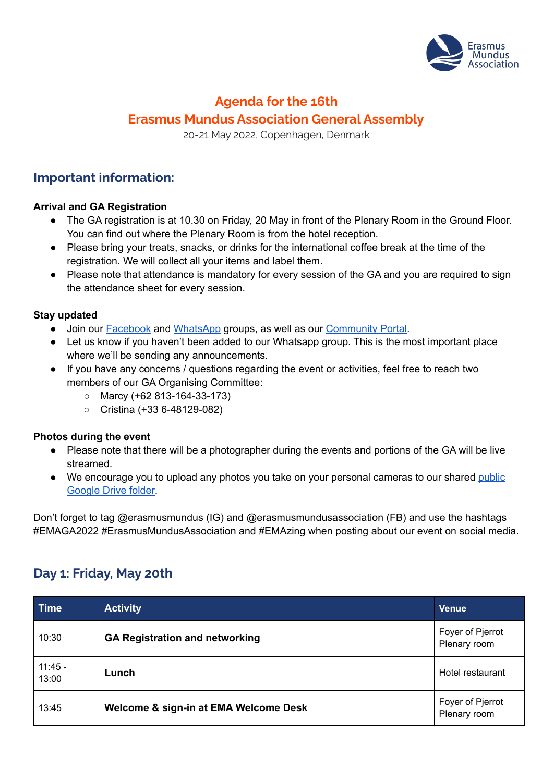

## **Agenda for the 16th Erasmus Mundus Association General Assembly**

20-21 May 2022, Copenhagen, Denmark

### **Important information:**

#### **Arrival and GA Registration**

- The GA registration is at 10.30 on Friday, 20 May in front of the Plenary Room in the Ground Floor. You can find out where the Plenary Room is from the hotel reception.
- Please bring your treats, snacks, or drinks for the international coffee break at the time of the registration. We will collect all your items and label them.
- Please note that attendance is mandatory for every session of the GA and you are required to sign the attendance sheet for every session.

#### **Stay updated**

- Join our **[Facebook](https://www.facebook.com/groups/711390176943604/about) and [WhatsApp](https://chat.whatsapp.com/Egcl1Se6ntZ2veD5bCqPnT) groups**, as well as our **[Community](https://members.em-a.eu/page/view-group-profile?id=319) Portal**.
- Let us know if you haven't been added to our Whatsapp group. This is the most important place where we'll be sending any announcements.
- If you have any concerns / questions regarding the event or activities, feel free to reach two members of our GA Organising Committee:
	- Marcy (+62 813-164-33-173)
	- Cristina (+33 6-48129-082)

#### **Photos during the event**

- Please note that there will be a photographer during the events and portions of the GA will be live streamed.
- We encourage you to upload any photos you take on your personal cameras to our shared [public](https://drive.google.com/drive/folders/16h1X52an-RtMRsM-cTP5ZmzKnpOxm40Y) [Google](https://drive.google.com/drive/folders/16h1X52an-RtMRsM-cTP5ZmzKnpOxm40Y) Drive folder.

Don't forget to tag @erasmusmundus (IG) and @erasmusmundusassociation (FB) and use the hashtags #EMAGA2022 #ErasmusMundusAssociation and #EMAzing when posting about our event on social media.

## **Day 1: Friday, May 20th**

| <b>Time</b>        | <b>Activity</b>                       | <b>Venue</b>                     |
|--------------------|---------------------------------------|----------------------------------|
| 10:30              | <b>GA Registration and networking</b> | Foyer of Pjerrot<br>Plenary room |
| $11:45 -$<br>13:00 | Lunch                                 | Hotel restaurant                 |
| 13:45              | Welcome & sign-in at EMA Welcome Desk | Foyer of Pjerrot<br>Plenary room |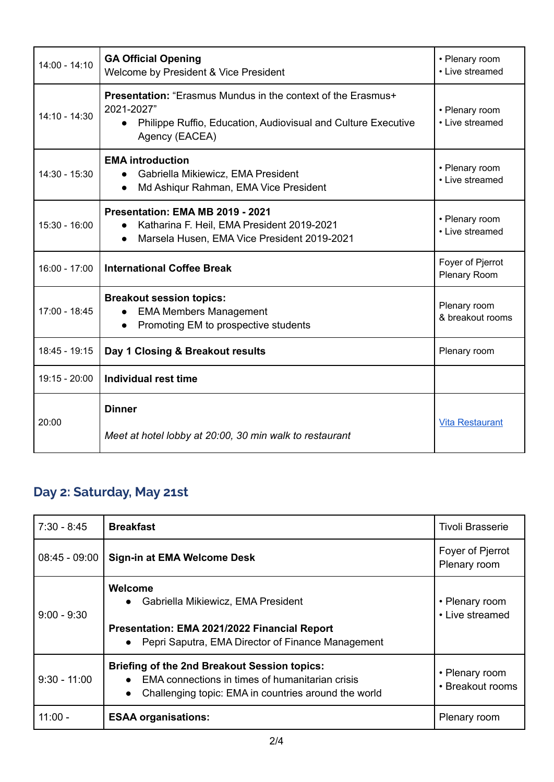| $14:00 - 14:10$ | <b>GA Official Opening</b><br>Welcome by President & Vice President                                                                                                               | • Plenary room<br>• Live streamed |
|-----------------|-----------------------------------------------------------------------------------------------------------------------------------------------------------------------------------|-----------------------------------|
| $14:10 - 14:30$ | <b>Presentation:</b> "Erasmus Mundus in the context of the Erasmus+<br>2021-2027"<br>Philippe Ruffio, Education, Audiovisual and Culture Executive<br>$\bullet$<br>Agency (EACEA) | • Plenary room<br>• Live streamed |
| 14:30 - 15:30   | <b>EMA introduction</b><br>Gabriella Mikiewicz, EMA President<br>$\bullet$<br>Md Ashiqur Rahman, EMA Vice President<br>$\bullet$                                                  | • Plenary room<br>• Live streamed |
| 15:30 - 16:00   | Presentation: EMA MB 2019 - 2021<br>Katharina F. Heil, EMA President 2019-2021<br>$\bullet$<br>Marsela Husen, EMA Vice President 2019-2021                                        | • Plenary room<br>• Live streamed |
| $16:00 - 17:00$ | <b>International Coffee Break</b>                                                                                                                                                 | Foyer of Pjerrot<br>Plenary Room  |
| 17:00 - 18:45   | <b>Breakout session topics:</b><br><b>EMA Members Management</b><br>Promoting EM to prospective students                                                                          | Plenary room<br>& breakout rooms  |
| 18:45 - 19:15   | Day 1 Closing & Breakout results                                                                                                                                                  | Plenary room                      |
| 19:15 - 20:00   | Individual rest time                                                                                                                                                              |                                   |
| 20:00           | <b>Dinner</b><br>Meet at hotel lobby at 20:00, 30 min walk to restaurant                                                                                                          | <b>Vita Restaurant</b>            |

# **Day 2: Saturday, May 21st**

| $7:30 - 8:45$   | <b>Breakfast</b>                                                                                                                                                                  | <b>Tivoli Brasserie</b>            |
|-----------------|-----------------------------------------------------------------------------------------------------------------------------------------------------------------------------------|------------------------------------|
| $08:45 - 09:00$ | Sign-in at EMA Welcome Desk                                                                                                                                                       | Foyer of Pjerrot<br>Plenary room   |
| $9:00 - 9:30$   | Welcome<br>Gabriella Mikiewicz, EMA President<br>$\bullet$<br>Presentation: EMA 2021/2022 Financial Report<br>Pepri Saputra, EMA Director of Finance Management<br>$\bullet$      | • Plenary room<br>• Live streamed  |
| $9:30 - 11:00$  | Briefing of the 2nd Breakout Session topics:<br>EMA connections in times of humanitarian crisis<br>$\bullet$<br>Challenging topic: EMA in countries around the world<br>$\bullet$ | • Plenary room<br>• Breakout rooms |
| $11:00 -$       | <b>ESAA organisations:</b>                                                                                                                                                        | Plenary room                       |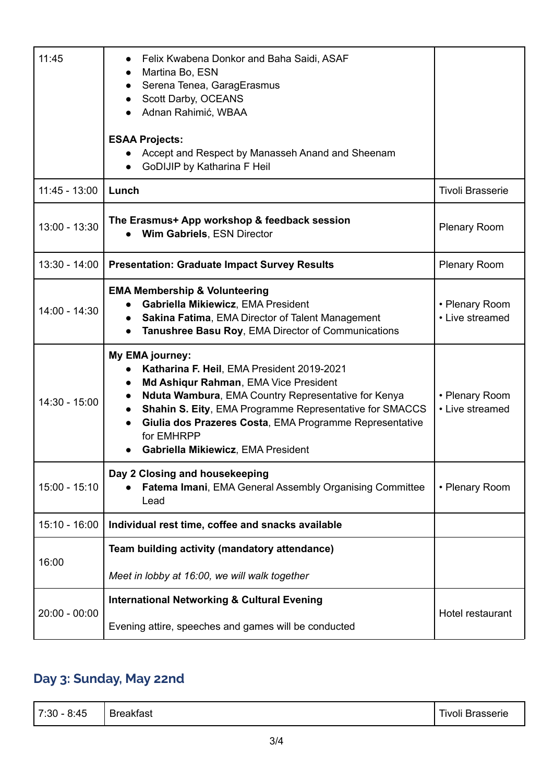| 11:45           | Felix Kwabena Donkor and Baha Saidi, ASAF<br>Martina Bo, ESN<br>Serena Tenea, GaragErasmus<br>Scott Darby, OCEANS<br>Adnan Rahimić, WBAA<br><b>ESAA Projects:</b><br>Accept and Respect by Manasseh Anand and Sheenam<br>GoDIJIP by Katharina F Heil                                                                                                 |                                   |
|-----------------|------------------------------------------------------------------------------------------------------------------------------------------------------------------------------------------------------------------------------------------------------------------------------------------------------------------------------------------------------|-----------------------------------|
| $11:45 - 13:00$ | Lunch                                                                                                                                                                                                                                                                                                                                                | <b>Tivoli Brasserie</b>           |
| 13:00 - 13:30   | The Erasmus+ App workshop & feedback session<br>Wim Gabriels, ESN Director                                                                                                                                                                                                                                                                           | <b>Plenary Room</b>               |
| $13:30 - 14:00$ | <b>Presentation: Graduate Impact Survey Results</b>                                                                                                                                                                                                                                                                                                  | Plenary Room                      |
| 14:00 - 14:30   | <b>EMA Membership &amp; Volunteering</b><br>Gabriella Mikiewicz, EMA President<br>Sakina Fatima, EMA Director of Talent Management<br>Tanushree Basu Roy, EMA Director of Communications                                                                                                                                                             | • Plenary Room<br>• Live streamed |
| 14:30 - 15:00   | My EMA journey:<br>Katharina F. Heil, EMA President 2019-2021<br>Md Ashiqur Rahman, EMA Vice President<br>$\bullet$<br>Nduta Wambura, EMA Country Representative for Kenya<br>Shahin S. Eity, EMA Programme Representative for SMACCS<br>Giulia dos Prazeres Costa, EMA Programme Representative<br>for EMHRPP<br>Gabriella Mikiewicz, EMA President | • Plenary Room<br>• Live streamed |
| 15:00 - 15:10   | Day 2 Closing and housekeeping<br>Fatema Imani, EMA General Assembly Organising Committee<br>Lead                                                                                                                                                                                                                                                    | • Plenary Room                    |
| $15:10 - 16:00$ | Individual rest time, coffee and snacks available                                                                                                                                                                                                                                                                                                    |                                   |
| 16:00           | Team building activity (mandatory attendance)<br>Meet in lobby at 16:00, we will walk together                                                                                                                                                                                                                                                       |                                   |
| $20:00 - 00:00$ | <b>International Networking &amp; Cultural Evening</b>                                                                                                                                                                                                                                                                                               | Hotel restaurant                  |
|                 | Evening attire, speeches and games will be conducted                                                                                                                                                                                                                                                                                                 |                                   |

# **Day 3: Sunday, May 22nd**

| 7:30 - 8:45 | <b>Breakfast</b> | <b>Tivoli Brasserie</b> |
|-------------|------------------|-------------------------|
|-------------|------------------|-------------------------|